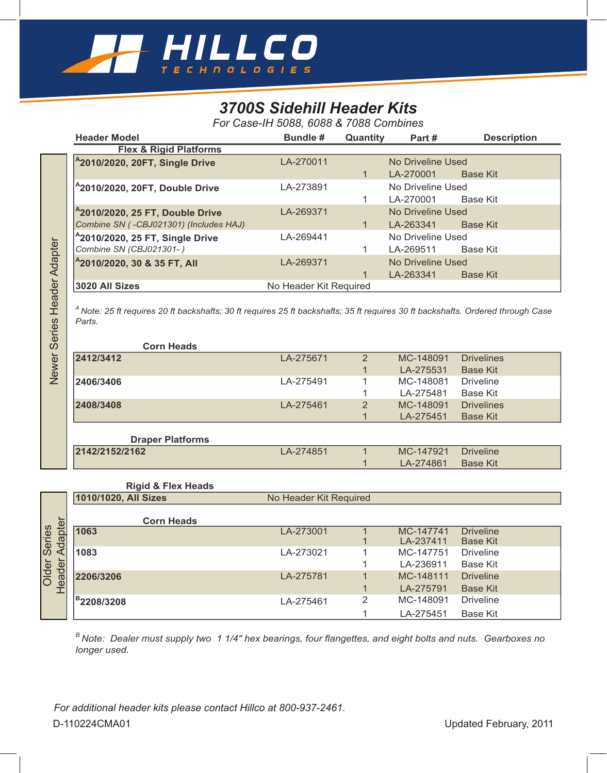

## *3700S Sidehill Header Kits*

*For Case-IH 5088, 6088 & 7088 Combines*

| <b>Header Model</b>                         | <b>Bundle #</b>        | Quantity | Part#             | <b>Description</b> |  |
|---------------------------------------------|------------------------|----------|-------------------|--------------------|--|
| <b>Flex &amp; Rigid Platforms</b>           |                        |          |                   |                    |  |
| <sup>A</sup> 2010/2020, 20FT, Single Drive  | LA-270011              |          | No Driveline Used |                    |  |
|                                             |                        |          | LA-270001         | <b>Base Kit</b>    |  |
| <sup>A</sup> 2010/2020, 20FT, Double Drive  | LA-273891              |          | No Driveline Used |                    |  |
|                                             |                        |          | LA-270001         | Base Kit           |  |
| <sup>2</sup> 2010/2020, 25 FT, Double Drive | LA-269371              |          | No Driveline Used |                    |  |
| Combine SN (-CBJ021301) (Includes HAJ)      |                        |          | LA-263341         | <b>Base Kit</b>    |  |
| <sup>2</sup> 2010/2020, 25 FT, Single Drive | LA-269441              |          | No Driveline Used |                    |  |
| Combine SN (CBJ021301-)                     |                        |          | LA-269511         | Base Kit           |  |
| $^{4}$ 2010/2020, 30 & 35 FT, All           | LA-269371              |          | No Driveline Used |                    |  |
|                                             |                        |          | LA-263341         | <b>Base Kit</b>    |  |
| 3020 All Sizes                              | No Header Kit Required |          |                   |                    |  |

| <b>Corn Heads</b>       |           |                |           |                   |
|-------------------------|-----------|----------------|-----------|-------------------|
| 2412/3412               | LA-275671 | $\overline{2}$ | MC-148091 | <b>Drivelines</b> |
|                         |           |                | LA-275531 | <b>Base Kit</b>   |
| 2406/3406               | LA-275491 |                | MC-148081 | <b>Driveline</b>  |
|                         |           |                | LA-275481 | Base Kit          |
| 2408/3408               | LA-275461 | 2              | MC-148091 | <b>Drivelines</b> |
|                         |           |                | LA-275451 | <b>Base Kit</b>   |
|                         |           |                |           |                   |
| <b>Draper Platforms</b> |           |                |           |                   |
| 2142/2152/2162          | LA-274851 |                | MC-147921 | <b>Driveline</b>  |

## **Rigid & Flex Heads**

|                             | ZUTU/ZUZU, ZO F I, SINGIE DRIVE                                                                                                              | LA-20944 I             |                | <b>INO DITIGHTIC OSCU</b> |                                     |  |
|-----------------------------|----------------------------------------------------------------------------------------------------------------------------------------------|------------------------|----------------|---------------------------|-------------------------------------|--|
|                             | Combine SN (CBJ021301-)                                                                                                                      |                        | 1              | LA-269511                 | <b>Base Kit</b>                     |  |
|                             | <sup>A</sup> 2010/2020, 30 & 35 FT, All                                                                                                      | LA-269371              |                | No Driveline Used         |                                     |  |
|                             |                                                                                                                                              |                        | $\mathbf{1}$   | LA-263341                 | <b>Base Kit</b>                     |  |
|                             | 3020 All Sizes                                                                                                                               | No Header Kit Required |                |                           |                                     |  |
| Newer Series Header Adapter | $^A$ Note: 25 ft requires 20 ft backshafts; 30 ft requires 25 ft backshafts; 35 ft requires 30 ft backshafts. Ordered through Case<br>Parts. |                        |                |                           |                                     |  |
|                             | <b>Corn Heads</b>                                                                                                                            |                        |                |                           |                                     |  |
|                             | 2412/3412                                                                                                                                    | LA-275671              | $\overline{2}$ | MC-148091                 | <b>Drivelines</b>                   |  |
|                             |                                                                                                                                              |                        | 1              | LA-275531                 | <b>Base Kit</b>                     |  |
|                             | 2406/3406                                                                                                                                    | LA-275491              | 1              | MC-148081                 | <b>Driveline</b>                    |  |
|                             |                                                                                                                                              |                        | 1              | LA-275481                 | <b>Base Kit</b>                     |  |
|                             | 2408/3408                                                                                                                                    | LA-275461              | $\overline{2}$ | MC-148091                 | <b>Drivelines</b>                   |  |
|                             |                                                                                                                                              |                        | $\mathbf{1}$   | LA-275451                 | <b>Base Kit</b>                     |  |
|                             | <b>Draper Platforms</b>                                                                                                                      |                        |                |                           |                                     |  |
|                             | 2142/2152/2162                                                                                                                               | LA-274851              | $\mathbf{1}$   | MC-147921                 | <b>Driveline</b>                    |  |
|                             |                                                                                                                                              |                        | 1              | LA-274861                 | <b>Base Kit</b>                     |  |
|                             | <b>Rigid &amp; Flex Heads</b>                                                                                                                |                        |                |                           |                                     |  |
|                             | 1010/1020, All Sizes                                                                                                                         | No Header Kit Required |                |                           |                                     |  |
|                             | <b>Corn Heads</b>                                                                                                                            |                        |                |                           |                                     |  |
| Adapter                     | 1063                                                                                                                                         | LA-273001              | $\mathbf{1}$   | MC-147741                 | <b>Driveline</b>                    |  |
| Older Series                | 1083                                                                                                                                         | LA-273021              | 1<br>1         | LA-237411<br>MC-147751    | <b>Base Kit</b><br><b>Driveline</b> |  |
|                             |                                                                                                                                              |                        | 1              | LA-236911                 | <b>Base Kit</b>                     |  |
| Header                      | 2206/3206                                                                                                                                    | LA-275781              | 1              | MC-148111                 | <b>Driveline</b>                    |  |
|                             |                                                                                                                                              |                        | 1              | LA-275791                 | <b>Base Kit</b>                     |  |
|                             |                                                                                                                                              |                        | $\overline{2}$ | MC-148091                 | <b>Driveline</b>                    |  |
|                             | <sup>B</sup> 2208/3208                                                                                                                       | LA-275461              |                |                           |                                     |  |
|                             |                                                                                                                                              |                        | 1              | LA-275451                 | <b>Base Kit</b>                     |  |
|                             | <sup>B</sup> Note: Dealer must supply two 1 1/4" hex bearings, four flangettes, and eight bolts and nuts. Gearboxes no<br>longer used.       |                        |                |                           |                                     |  |
|                             | For additional header kits please contact Hillco at 800-937-2461.                                                                            |                        |                |                           |                                     |  |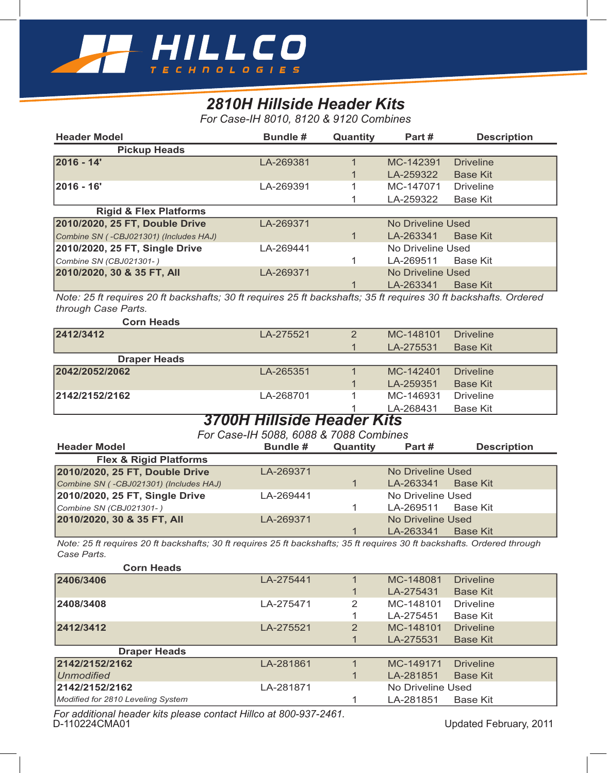

## *2810H Hillside Header Kits*

*For Case-IH 8010, 8120 & 9120 Combines*

| <b>Header Model</b>                                                                                                                     | <b>Bundle #</b>                        | Quantity       | Part#                    | <b>Description</b> |
|-----------------------------------------------------------------------------------------------------------------------------------------|----------------------------------------|----------------|--------------------------|--------------------|
| <b>Pickup Heads</b>                                                                                                                     |                                        |                |                          |                    |
| 2016 - 14'                                                                                                                              | LA-269381                              | $\mathbf{1}$   | MC-142391                | <b>Driveline</b>   |
|                                                                                                                                         |                                        | 1              | LA-259322                | <b>Base Kit</b>    |
| 2016 - 16'                                                                                                                              | LA-269391                              | 1              | MC-147071                | <b>Driveline</b>   |
|                                                                                                                                         |                                        | 1              | LA-259322                | <b>Base Kit</b>    |
| <b>Rigid &amp; Flex Platforms</b>                                                                                                       |                                        |                |                          |                    |
| 2010/2020, 25 FT, Double Drive                                                                                                          | LA-269371                              |                | <b>No Driveline Used</b> |                    |
| Combine SN (-CBJ021301) (Includes HAJ)                                                                                                  |                                        | $\mathbf{1}$   | LA-263341                | <b>Base Kit</b>    |
| 2010/2020, 25 FT, Single Drive                                                                                                          | LA-269441                              |                | No Driveline Used        |                    |
|                                                                                                                                         |                                        |                |                          |                    |
| Combine SN (CBJ021301-)                                                                                                                 |                                        | 1              | LA-269511                | <b>Base Kit</b>    |
| 2010/2020, 30 & 35 FT, All                                                                                                              | LA-269371                              |                | <b>No Driveline Used</b> |                    |
|                                                                                                                                         |                                        |                | LA-263341                | <b>Base Kit</b>    |
| Note: 25 ft requires 20 ft backshafts; 30 ft requires 25 ft backshafts; 35 ft requires 30 ft backshafts. Ordered<br>through Case Parts. |                                        |                |                          |                    |
| <b>Corn Heads</b>                                                                                                                       |                                        |                |                          |                    |
| 2412/3412                                                                                                                               | LA-275521                              | $\overline{2}$ | MC-148101                | <b>Driveline</b>   |
|                                                                                                                                         |                                        | 1              | LA-275531                | <b>Base Kit</b>    |
| <b>Draper Heads</b>                                                                                                                     |                                        |                |                          |                    |
| 2042/2052/2062                                                                                                                          | LA-265351                              | $\mathbf{1}$   | MC-142401                | <b>Driveline</b>   |
|                                                                                                                                         |                                        | 1              | LA-259351                | <b>Base Kit</b>    |
| 2142/2152/2162                                                                                                                          | LA-268701                              | 1              | MC-146931                | <b>Driveline</b>   |
|                                                                                                                                         |                                        |                | LA-268431                | <b>Base Kit</b>    |
|                                                                                                                                         | <b>3700H Hillside Header Kits</b>      |                |                          |                    |
|                                                                                                                                         |                                        |                |                          |                    |
|                                                                                                                                         |                                        |                |                          |                    |
|                                                                                                                                         | For Case-IH 5088, 6088 & 7088 Combines |                |                          |                    |
| <b>Header Model</b>                                                                                                                     | <b>Bundle #</b>                        | Quantity       | Part#                    | <b>Description</b> |
| <b>Flex &amp; Rigid Platforms</b>                                                                                                       |                                        |                |                          |                    |
| 2010/2020, 25 FT, Double Drive                                                                                                          | LA-269371                              |                | <b>No Driveline Used</b> |                    |
| Combine SN (-CBJ021301) (Includes HAJ)                                                                                                  |                                        | 1              | LA-263341                | <b>Base Kit</b>    |
| 2010/2020, 25 FT, Single Drive                                                                                                          | LA-269441                              |                | No Driveline Used        |                    |
| Combine SN (CBJ021301-)                                                                                                                 |                                        | 1              | LA-269511                | <b>Base Kit</b>    |
| 2010/2020, 30 & 35 FT, All                                                                                                              | LA-269371                              |                | <b>No Driveline Used</b> |                    |
|                                                                                                                                         |                                        | 1              | LA-263341                | <b>Base Kit</b>    |
| Note: 25 ft requires 20 ft backshafts; 30 ft requires 25 ft backshafts; 35 ft requires 30 ft backshafts. Ordered through<br>Case Parts. |                                        |                |                          |                    |
| <b>Corn Heads</b>                                                                                                                       |                                        |                |                          |                    |
| 2406/3406                                                                                                                               | LA-275441                              | $\mathbf{1}$   | MC-148081                | <b>Driveline</b>   |
|                                                                                                                                         |                                        | 1              | LA-275431                | <b>Base Kit</b>    |
| 2408/3408                                                                                                                               | LA-275471                              | 2              | MC-148101                | <b>Driveline</b>   |
|                                                                                                                                         |                                        | 1              | LA-275451                | <b>Base Kit</b>    |
| 2412/3412                                                                                                                               | LA-275521                              | $\overline{2}$ | MC-148101                | <b>Driveline</b>   |
|                                                                                                                                         |                                        | 1              | LA-275531                | <b>Base Kit</b>    |
| <b>Draper Heads</b>                                                                                                                     |                                        |                |                          |                    |
| 2142/2152/2162                                                                                                                          | LA-281861                              | 1              | MC-149171                | <b>Driveline</b>   |
| <b>Unmodified</b>                                                                                                                       |                                        | 1              | LA-281851                | <b>Base Kit</b>    |
| 2142/2152/2162                                                                                                                          | LA-281871                              |                | No Driveline Used        |                    |
| Modified for 2810 Leveling System                                                                                                       |                                        | 1              | LA-281851                | <b>Base Kit</b>    |